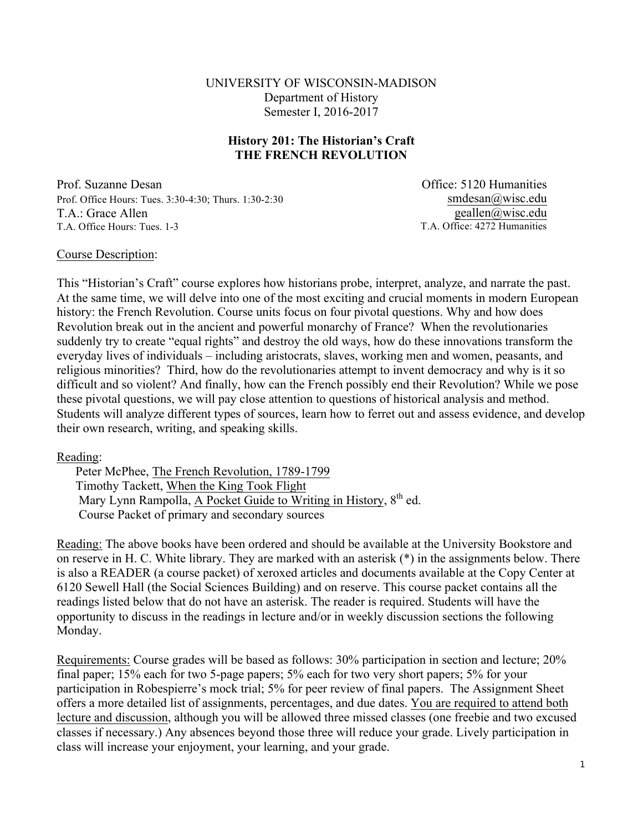UNIVERSITY OF WISCONSIN-MADISON Department of History Semester I, 2016-2017

#### **History 201: The Historian's Craft THE FRENCH REVOLUTION**

Prof. Suzanne Desan Prof. Office Hours: Tues. 3:30-4:30; Thurs. 1:30-2:30 T.A.: Grace Allen T.A. Office Hours: Tues. 1-3

Office: 5120 Humanities smdesan@wisc.edu geallen@wisc.edu T.A. Office: 4272 Humanities

#### Course Description:

This "Historian's Craft" course explores how historians probe, interpret, analyze, and narrate the past. At the same time, we will delve into one of the most exciting and crucial moments in modern European history: the French Revolution. Course units focus on four pivotal questions. Why and how does Revolution break out in the ancient and powerful monarchy of France? When the revolutionaries suddenly try to create "equal rights" and destroy the old ways, how do these innovations transform the everyday lives of individuals – including aristocrats, slaves, working men and women, peasants, and religious minorities? Third, how do the revolutionaries attempt to invent democracy and why is it so difficult and so violent? And finally, how can the French possibly end their Revolution? While we pose these pivotal questions, we will pay close attention to questions of historical analysis and method. Students will analyze different types of sources, learn how to ferret out and assess evidence, and develop their own research, writing, and speaking skills.

#### Reading:

Peter McPhee, The French Revolution, 1789-1799 Timothy Tackett, When the King Took Flight Mary Lynn Rampolla, A Pocket Guide to Writing in History,  $8^{th}$  ed. Course Packet of primary and secondary sources

Reading: The above books have been ordered and should be available at the University Bookstore and on reserve in H. C. White library. They are marked with an asterisk (\*) in the assignments below. There is also a READER (a course packet) of xeroxed articles and documents available at the Copy Center at 6120 Sewell Hall (the Social Sciences Building) and on reserve. This course packet contains all the readings listed below that do not have an asterisk. The reader is required. Students will have the opportunity to discuss in the readings in lecture and/or in weekly discussion sections the following Monday.

Requirements: Course grades will be based as follows: 30% participation in section and lecture; 20% final paper; 15% each for two 5-page papers; 5% each for two very short papers; 5% for your participation in Robespierre's mock trial; 5% for peer review of final papers. The Assignment Sheet offers a more detailed list of assignments, percentages, and due dates. You are required to attend both lecture and discussion, although you will be allowed three missed classes (one freebie and two excused classes if necessary.) Any absences beyond those three will reduce your grade. Lively participation in class will increase your enjoyment, your learning, and your grade.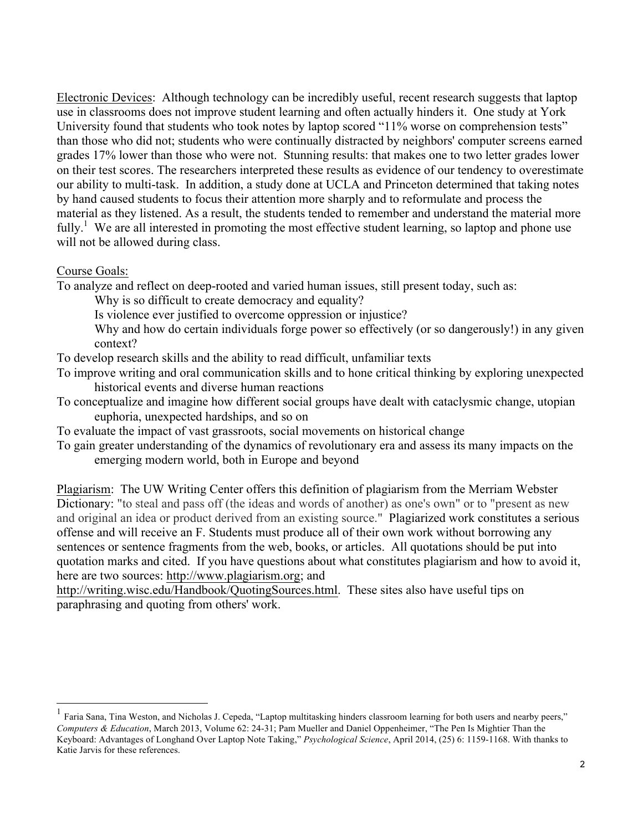Electronic Devices: Although technology can be incredibly useful, recent research suggests that laptop use in classrooms does not improve student learning and often actually hinders it. One study at York University found that students who took notes by laptop scored "11% worse on comprehension tests" than those who did not; students who were continually distracted by neighbors' computer screens earned grades 17% lower than those who were not. Stunning results: that makes one to two letter grades lower on their test scores. The researchers interpreted these results as evidence of our tendency to overestimate our ability to multi-task. In addition, a study done at UCLA and Princeton determined that taking notes by hand caused students to focus their attention more sharply and to reformulate and process the material as they listened. As a result, the students tended to remember and understand the material more fully.<sup>1</sup> We are all interested in promoting the most effective student learning, so laptop and phone use will not be allowed during class.

#### Course Goals:

To analyze and reflect on deep-rooted and varied human issues, still present today, such as:

Why is so difficult to create democracy and equality?

Is violence ever justified to overcome oppression or injustice?

Why and how do certain individuals forge power so effectively (or so dangerously!) in any given context?

To develop research skills and the ability to read difficult, unfamiliar texts

To improve writing and oral communication skills and to hone critical thinking by exploring unexpected historical events and diverse human reactions

- To conceptualize and imagine how different social groups have dealt with cataclysmic change, utopian euphoria, unexpected hardships, and so on
- To evaluate the impact of vast grassroots, social movements on historical change
- To gain greater understanding of the dynamics of revolutionary era and assess its many impacts on the emerging modern world, both in Europe and beyond

Plagiarism: The UW Writing Center offers this definition of plagiarism from the Merriam Webster Dictionary: "to steal and pass off (the ideas and words of another) as one's own" or to "present as new and original an idea or product derived from an existing source." Plagiarized work constitutes a serious offense and will receive an F. Students must produce all of their own work without borrowing any sentences or sentence fragments from the web, books, or articles. All quotations should be put into quotation marks and cited. If you have questions about what constitutes plagiarism and how to avoid it, here are two sources: http://www.plagiarism.org; and

http://writing.wisc.edu/Handbook/QuotingSources.html. These sites also have useful tips on paraphrasing and quoting from others' work.

<sup>1</sup> Faria Sana, Tina Weston, and Nicholas J. Cepeda, "Laptop multitasking hinders classroom learning for both users and nearby peers," *Computers & Education*, March 2013, Volume 62: 24-31; Pam Mueller and Daniel Oppenheimer, "The Pen Is Mightier Than the Keyboard: Advantages of Longhand Over Laptop Note Taking," *Psychological Science*, April 2014, (25) 6: 1159-1168. With thanks to Katie Jarvis for these references.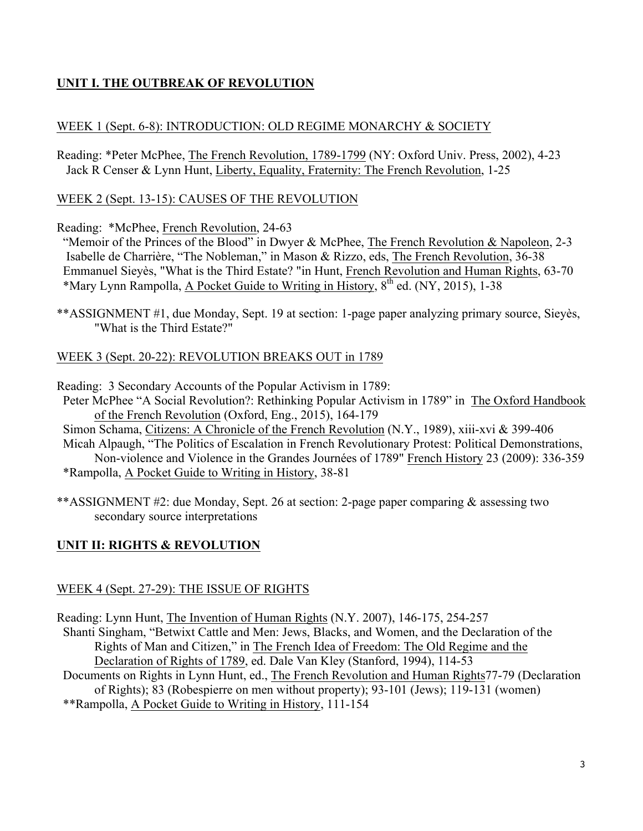# **UNIT I. THE OUTBREAK OF REVOLUTION**

## WEEK 1 (Sept. 6-8): INTRODUCTION: OLD REGIME MONARCHY & SOCIETY

Reading: \*Peter McPhee, The French Revolution, 1789-1799 (NY: Oxford Univ. Press, 2002), 4-23 Jack R Censer & Lynn Hunt, Liberty, Equality, Fraternity: The French Revolution, 1-25

## WEEK 2 (Sept. 13-15): CAUSES OF THE REVOLUTION

Reading: \*McPhee, French Revolution, 24-63

 "Memoir of the Princes of the Blood" in Dwyer & McPhee, The French Revolution & Napoleon, 2-3 Isabelle de Charrière, "The Nobleman," in Mason & Rizzo, eds, The French Revolution, 36-38 Emmanuel Sieyès, "What is the Third Estate? "in Hunt, French Revolution and Human Rights, 63-70 \*Mary Lynn Rampolla, A Pocket Guide to Writing in History,  $8^{th}$  ed. (NY, 2015), 1-38

\*\*ASSIGNMENT #1, due Monday, Sept. 19 at section: 1-page paper analyzing primary source, Sieyès, "What is the Third Estate?"

## WEEK 3 (Sept. 20-22): REVOLUTION BREAKS OUT in 1789

Reading: 3 Secondary Accounts of the Popular Activism in 1789:

- Peter McPhee "A Social Revolution?: Rethinking Popular Activism in 1789" in The Oxford Handbook of the French Revolution (Oxford, Eng., 2015), 164-179
- Simon Schama, Citizens: A Chronicle of the French Revolution (N.Y., 1989), xiii-xvi & 399-406 Micah Alpaugh, "The Politics of Escalation in French Revolutionary Protest: Political Demonstrations, Non-violence and Violence in the Grandes Journées of 1789" French History 23 (2009): 336-359 \*Rampolla, A Pocket Guide to Writing in History, 38-81
- \*\*ASSIGNMENT #2: due Monday, Sept. 26 at section: 2-page paper comparing & assessing two secondary source interpretations

# **UNIT II: RIGHTS & REVOLUTION**

## WEEK 4 (Sept. 27-29): THE ISSUE OF RIGHTS

Reading: Lynn Hunt, The Invention of Human Rights (N.Y. 2007), 146-175, 254-257 Shanti Singham, "Betwixt Cattle and Men: Jews, Blacks, and Women, and the Declaration of the Rights of Man and Citizen," in The French Idea of Freedom: The Old Regime and the Declaration of Rights of 1789, ed. Dale Van Kley (Stanford, 1994), 114-53 Documents on Rights in Lynn Hunt, ed., The French Revolution and Human Rights77-79 (Declaration of Rights); 83 (Robespierre on men without property); 93-101 (Jews); 119-131 (women) \*\*Rampolla, A Pocket Guide to Writing in History, 111-154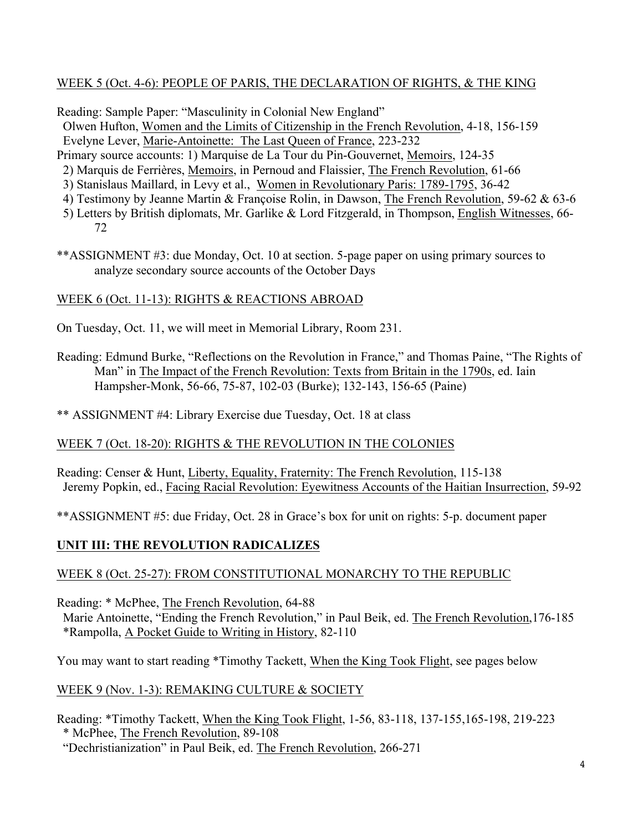# WEEK 5 (Oct. 4-6): PEOPLE OF PARIS, THE DECLARATION OF RIGHTS, & THE KING

Reading: Sample Paper: "Masculinity in Colonial New England"

Olwen Hufton, Women and the Limits of Citizenship in the French Revolution, 4-18, 156-159 Evelyne Lever, Marie-Antoinette: The Last Queen of France, 223-232

- Primary source accounts: 1) Marquise de La Tour du Pin-Gouvernet, Memoirs, 124-35
- 2) Marquis de Ferrières, Memoirs, in Pernoud and Flaissier, The French Revolution, 61-66
- 3) Stanislaus Maillard, in Levy et al., Women in Revolutionary Paris: 1789-1795, 36-42
- 4) Testimony by Jeanne Martin & Françoise Rolin, in Dawson, The French Revolution, 59-62 & 63-6
- 5) Letters by British diplomats, Mr. Garlike & Lord Fitzgerald, in Thompson, English Witnesses, 66- 72
- \*\*ASSIGNMENT #3: due Monday, Oct. 10 at section. 5-page paper on using primary sources to analyze secondary source accounts of the October Days

# WEEK 6 (Oct. 11-13): RIGHTS & REACTIONS ABROAD

On Tuesday, Oct. 11, we will meet in Memorial Library, Room 231.

Reading: Edmund Burke, "Reflections on the Revolution in France," and Thomas Paine, "The Rights of Man" in The Impact of the French Revolution: Texts from Britain in the 1790s, ed. Iain Hampsher-Monk, 56-66, 75-87, 102-03 (Burke); 132-143, 156-65 (Paine)

\*\* ASSIGNMENT #4: Library Exercise due Tuesday, Oct. 18 at class

# WEEK 7 (Oct. 18-20): RIGHTS & THE REVOLUTION IN THE COLONIES

Reading: Censer & Hunt, Liberty, Equality, Fraternity: The French Revolution, 115-138 Jeremy Popkin, ed., Facing Racial Revolution: Eyewitness Accounts of the Haitian Insurrection, 59-92

\*\*ASSIGNMENT #5: due Friday, Oct. 28 in Grace's box for unit on rights: 5-p. document paper

# **UNIT III: THE REVOLUTION RADICALIZES**

# WEEK 8 (Oct. 25-27): FROM CONSTITUTIONAL MONARCHY TO THE REPUBLIC

Reading: \* McPhee, The French Revolution, 64-88

 Marie Antoinette, "Ending the French Revolution," in Paul Beik, ed. The French Revolution,176-185 \*Rampolla, A Pocket Guide to Writing in History, 82-110

You may want to start reading \*Timothy Tackett, When the King Took Flight, see pages below

# WEEK 9 (Nov. 1-3): REMAKING CULTURE & SOCIETY

Reading: \*Timothy Tackett, When the King Took Flight, 1-56, 83-118, 137-155,165-198, 219-223 \* McPhee, The French Revolution, 89-108

"Dechristianization" in Paul Beik, ed. The French Revolution, 266-271